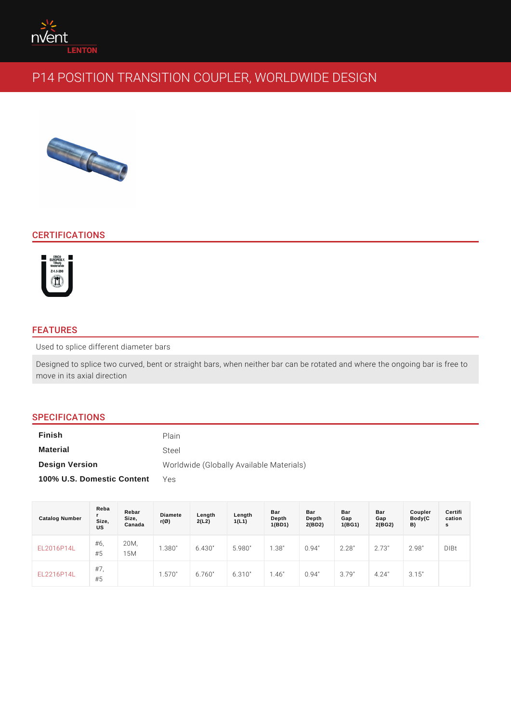# CERTIFICATIONS

## FEATURES

Used to splice different diameter bars

Designed to splice two curved, bent or straight bars, when neither bar can be rotated and when move in its axial direction

# SPECIFICATIONS

| Finish                     | Plain                                    |
|----------------------------|------------------------------------------|
| Material                   | Steel                                    |
| Design Version             | Worldwide (Globally Available Materials) |
| 100% U.S. Domestic Content | YAS                                      |

| Catalog Number               | Reba<br>Size,<br>US | Rebar<br>Size,<br>Canada | Diamete<br>$r(\varnothing)$ | Length<br>2(L2) | Length<br>1(L1) | Bar<br>Depth<br>1(BD1) | Bar<br>Depth<br>2(BD2) | Bar<br>Gap<br>1(BG1) | Bar<br>Gap<br>2(BG2) | Coupler<br>Body(C<br>B) | Certifi<br>cation<br>s |
|------------------------------|---------------------|--------------------------|-----------------------------|-----------------|-----------------|------------------------|------------------------|----------------------|----------------------|-------------------------|------------------------|
| E L 2 0 1 6 P 1 4 L''        | #6,<br>#5           | 20M.<br>15M              | 1.380"                      | 6.430"          | 5.980"          | 1.38"                  | 0.94"                  | 2.28"                | 2.73"                | 2.98"                   | $D$   $B$ t            |
| $E L 2 2 1 6 P 1 4 L_{\# 5}$ | $#7$ ,              |                          | 1.570"                      | 6.760 "         | $6.310$ "       | 1.46"                  | 0.94"                  | 3.79"                | 4.24                 | 3.15"                   |                        |